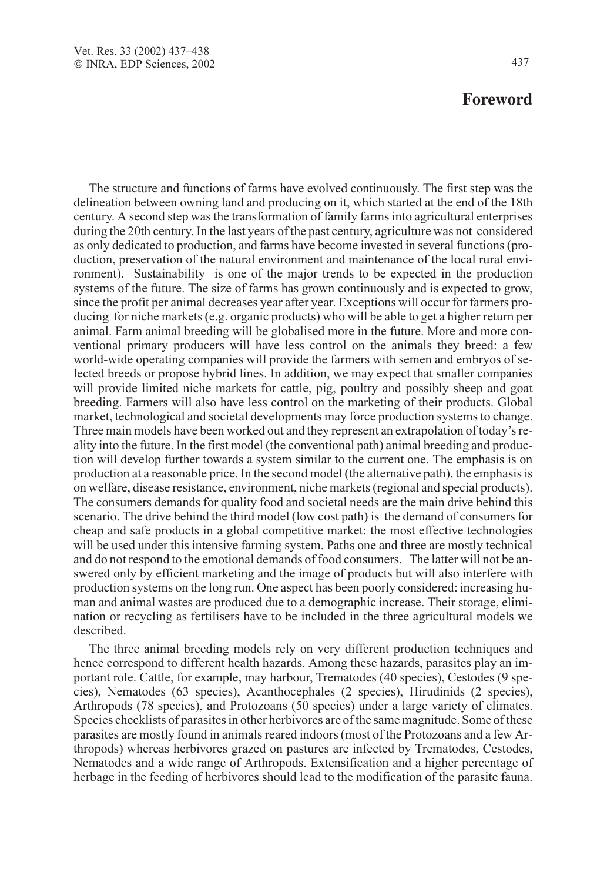## **Foreword**

The structure and functions of farms have evolved continuously. The first step was the delineation between owning land and producing on it, which started at the end of the 18th century. A second step was the transformation of family farms into agricultural enterprises during the 20th century. In the last years of the past century, agriculture was not considered as only dedicated to production, and farms have become invested in several functions (production, preservation of the natural environment and maintenance of the local rural environment). Sustainability is one of the major trends to be expected in the production systems of the future. The size of farms has grown continuously and is expected to grow, since the profit per animal decreases year after year. Exceptions will occur for farmers producing for niche markets (e.g. organic products) who will be able to get a higher return per animal. Farm animal breeding will be globalised more in the future. More and more conventional primary producers will have less control on the animals they breed: a few world-wide operating companies will provide the farmers with semen and embryos of selected breeds or propose hybrid lines. In addition, we may expect that smaller companies will provide limited niche markets for cattle, pig, poultry and possibly sheep and goat breeding. Farmers will also have less control on the marketing of their products. Global market, technological and societal developments may force production systems to change. Three main models have been worked out and they represent an extrapolation of today's reality into the future. In the first model (the conventional path) animal breeding and production will develop further towards a system similar to the current one. The emphasis is on production at a reasonable price. In the second model (the alternative path), the emphasis is on welfare, disease resistance, environment, niche markets (regional and special products). The consumers demands for quality food and societal needs are the main drive behind this scenario. The drive behind the third model (low cost path) is the demand of consumers for cheap and safe products in a global competitive market: the most effective technologies will be used under this intensive farming system. Paths one and three are mostly technical and do not respond to the emotional demands of food consumers. The latter will not be answered only by efficient marketing and the image of products but will also interfere with production systems on the long run. One aspect has been poorly considered: increasing human and animal wastes are produced due to a demographic increase. Their storage, elimination or recycling as fertilisers have to be included in the three agricultural models we described.

The three animal breeding models rely on very different production techniques and hence correspond to different health hazards. Among these hazards, parasites play an important role. Cattle, for example, may harbour, Trematodes (40 species), Cestodes (9 species), Nematodes (63 species), Acanthocephales (2 species), Hirudinids (2 species), Arthropods (78 species), and Protozoans (50 species) under a large variety of climates. Species checklists of parasites in other herbivores are of the same magnitude. Some of these parasites are mostly found in animals reared indoors (most of the Protozoans and a few Arthropods) whereas herbivores grazed on pastures are infected by Trematodes, Cestodes, Nematodes and a wide range of Arthropods. Extensification and a higher percentage of herbage in the feeding of herbivores should lead to the modification of the parasite fauna.